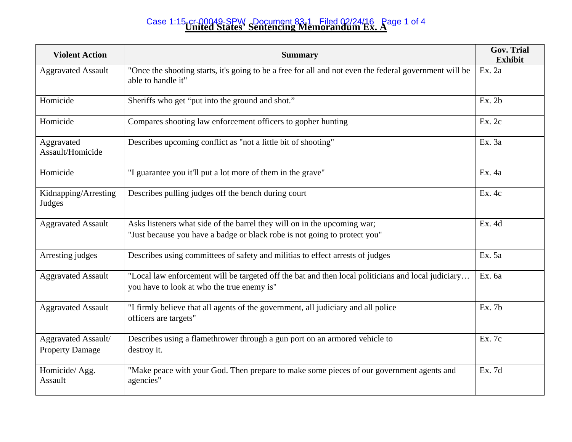## **United States' Sentencing Memorandum Ex. A**  Case 1:15-cr-00049-SPW Document 83-1 Filed 02/24/16 Page 1 of 4

| <b>Violent Action</b>                         | <b>Summary</b>                                                                                                                                        | <b>Gov. Trial</b><br><b>Exhibit</b> |
|-----------------------------------------------|-------------------------------------------------------------------------------------------------------------------------------------------------------|-------------------------------------|
| <b>Aggravated Assault</b>                     | "Once the shooting starts, it's going to be a free for all and not even the federal government will be<br>able to handle it"                          | Ex. 2a                              |
| Homicide                                      | Sheriffs who get "put into the ground and shot."                                                                                                      | Ex.2b                               |
| Homicide                                      | Compares shooting law enforcement officers to gopher hunting                                                                                          | Ex. 2c                              |
| Aggravated<br>Assault/Homicide                | Describes upcoming conflict as "not a little bit of shooting"                                                                                         | Ex. 3a                              |
| Homicide                                      | "I guarantee you it'll put a lot more of them in the grave"                                                                                           | Ex. 4a                              |
| Kidnapping/Arresting<br>Judges                | Describes pulling judges off the bench during court                                                                                                   | Ex. 4c                              |
| <b>Aggravated Assault</b>                     | Asks listeners what side of the barrel they will on in the upcoming war;<br>"Just because you have a badge or black robe is not going to protect you" | Ex. 4d                              |
| Arresting judges                              | Describes using committees of safety and militias to effect arrests of judges                                                                         | Ex. 5a                              |
| <b>Aggravated Assault</b>                     | "Local law enforcement will be targeted off the bat and then local politicians and local judiciary<br>you have to look at who the true enemy is"      | Ex. 6a                              |
| <b>Aggravated Assault</b>                     | "I firmly believe that all agents of the government, all judiciary and all police<br>officers are targets"                                            | Ex. 7b                              |
| Aggravated Assault/<br><b>Property Damage</b> | Describes using a flamethrower through a gun port on an armored vehicle to<br>destroy it.                                                             | Ex. 7c                              |
| Homicide/ Agg.<br>Assault                     | "Make peace with your God. Then prepare to make some pieces of our government agents and<br>agencies"                                                 | Ex. 7d                              |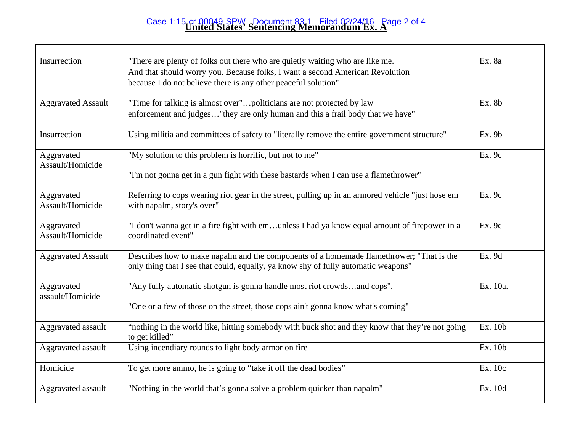## **United States' Sentencing Memorandum Ex. A**  Case 1:15-cr-00049-SPW Document 83-1 Filed 02/24/16 Page 2 of 4

| Insurrection                   | "There are plenty of folks out there who are quietly waiting who are like me.<br>And that should worry you. Because folks, I want a second American Revolution<br>because I do not believe there is any other peaceful solution" | Ex. 8a   |
|--------------------------------|----------------------------------------------------------------------------------------------------------------------------------------------------------------------------------------------------------------------------------|----------|
| <b>Aggravated Assault</b>      | "Time for talking is almost over"politicians are not protected by law<br>enforcement and judges"they are only human and this a frail body that we have"                                                                          | Ex. 8b   |
| Insurrection                   | Using militia and committees of safety to "literally remove the entire government structure"                                                                                                                                     | Ex. 9b   |
| Aggravated<br>Assault/Homicide | "My solution to this problem is horrific, but not to me"<br>"I'm not gonna get in a gun fight with these bastards when I can use a flamethrower"                                                                                 | Ex. 9c   |
| Aggravated<br>Assault/Homicide | Referring to cops wearing riot gear in the street, pulling up in an armored vehicle "just hose em<br>with napalm, story's over"                                                                                                  | Ex. 9c   |
| Aggravated<br>Assault/Homicide | "I don't wanna get in a fire fight with emunless I had ya know equal amount of firepower in a<br>coordinated event"                                                                                                              | Ex. 9c   |
| <b>Aggravated Assault</b>      | Describes how to make napalm and the components of a homemade flamethrower; "That is the<br>only thing that I see that could, equally, ya know shy of fully automatic weapons"                                                   | Ex. 9d   |
| Aggravated<br>assault/Homicide | "Any fully automatic shotgun is gonna handle most riot crowdsand cops".<br>"One or a few of those on the street, those cops ain't gonna know what's coming"                                                                      | Ex. 10a. |
| Aggravated assault             | "nothing in the world like, hitting somebody with buck shot and they know that they're not going<br>to get killed"                                                                                                               | Ex. 10b  |
| Aggravated assault             | Using incendiary rounds to light body armor on fire                                                                                                                                                                              | Ex. 10b  |
| Homicide                       | To get more ammo, he is going to "take it off the dead bodies"                                                                                                                                                                   | Ex. 10c  |
| Aggravated assault             | "Nothing in the world that's gonna solve a problem quicker than napalm"                                                                                                                                                          | Ex. 10d  |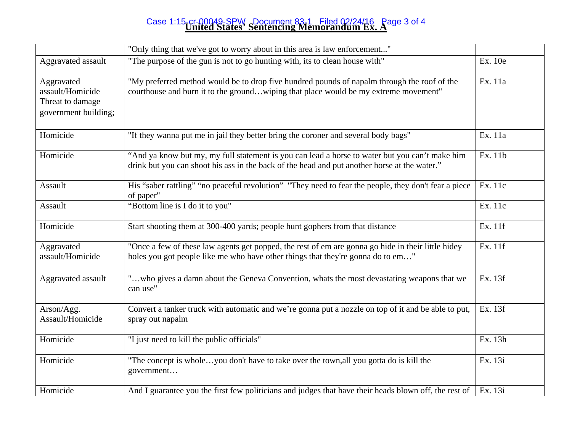## **United States' Sentencing Memorandum Ex. A**  Case 1:15-cr-00049-SPW Document 83-1 Filed 02/24/16 Page 3 of 4

|                                                                            | "Only thing that we've got to worry about in this area is law enforcement"                                                                                                                     |         |
|----------------------------------------------------------------------------|------------------------------------------------------------------------------------------------------------------------------------------------------------------------------------------------|---------|
| Aggravated assault                                                         | "The purpose of the gun is not to go hunting with, its to clean house with"                                                                                                                    | Ex. 10e |
| Aggravated<br>assault/Homicide<br>Threat to damage<br>government building; | "My preferred method would be to drop five hundred pounds of napalm through the roof of the<br>courthouse and burn it to the groundwiping that place would be my extreme movement"             | Ex. 11a |
| Homicide                                                                   | "If they wanna put me in jail they better bring the coroner and several body bags"                                                                                                             | Ex. 11a |
| Homicide                                                                   | "And ya know but my, my full statement is you can lead a horse to water but you can't make him<br>drink but you can shoot his ass in the back of the head and put another horse at the water." | Ex. 11b |
| Assault                                                                    | His "saber rattling" "no peaceful revolution" "They need to fear the people, they don't fear a piece<br>of paper"                                                                              | Ex. 11c |
| Assault                                                                    | "Bottom line is I do it to you"                                                                                                                                                                | Ex. 11c |
| Homicide                                                                   | Start shooting them at 300-400 yards; people hunt gophers from that distance                                                                                                                   | Ex. 11f |
| Aggravated<br>assault/Homicide                                             | "Once a few of these law agents get popped, the rest of em are gonna go hide in their little hidey<br>holes you got people like me who have other things that they're gonna do to em"          | Ex. 11f |
| Aggravated assault                                                         | "who gives a damn about the Geneva Convention, whats the most devastating weapons that we<br>can use"                                                                                          | Ex. 13f |
| Arson/Agg.<br>Assault/Homicide                                             | Convert a tanker truck with automatic and we're gonna put a nozzle on top of it and be able to put,<br>spray out napalm                                                                        | Ex. 13f |
| Homicide                                                                   | "I just need to kill the public officials"                                                                                                                                                     | Ex. 13h |
| Homicide                                                                   | "The concept is wholeyou don't have to take over the town, all you gotta do is kill the<br>government                                                                                          | Ex. 13i |
| Homicide                                                                   | And I guarantee you the first few politicians and judges that have their heads blown off, the rest of                                                                                          | Ex. 13i |